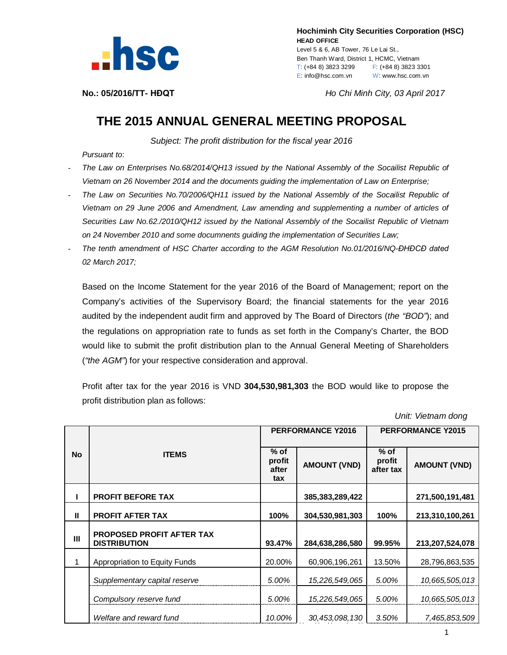

 **Hochiminh City Securities Corporation (HSC) HEAD OFFICE** Level 5 & 6, AB Tower, 76 Le Lai St., Ben Thanh Ward, District 1, HCMC, Vietnam T: (+84 8) 3823 3299 F: (+84 8) 3823 3301 E: info@hsc.com.vn W: www.hsc.com.vn

**No.: 05/2016/TT- HĐQT** *Ho Chi Minh City, 03 April 2017*

## **THE 2015 ANNUAL GENERAL MEETING PROPOSAL**

*Subject: The profit distribution for the fiscal year 2016*

*Pursuant to*:

- *The Law on Enterprises No.68/2014/QH13 issued by the National Assembly of the Socailist Republic of Vietnam on 26 November 2014 and the documents guiding the implementation of Law on Enterprise;*
- *The Law on Securities No.70/2006/QH11 issued by the National Assembly of the Socailist Republic of Vietnam on 29 June 2006 and Amendment, Law amending and supplementing a number of articles of Securities Law No.62./2010/QH12 issued by the National Assembly of the Socailist Republic of Vietnam on 24 November 2010 and some documnents guiding the implementation of Securities Law;*
- *The tenth amendment of HSC Charter according to the AGM Resolution No.01/2016/NQ-ĐHĐCĐ dated 02 March 2017;*

Based on the Income Statement for the year 2016 of the Board of Management; report on the Company's activities of the Supervisory Board; the financial statements for the year 2016 audited by the independent audit firm and approved by The Board of Directors (*the "BOD"*); and the regulations on appropriation rate to funds as set forth in the Company's Charter, the BOD would like to submit the profit distribution plan to the Annual General Meeting of Shareholders (*"the AGM"*) for your respective consideration and approval.

Profit after tax for the year 2016 is VND **304,530,981,303** the BOD would like to propose the profit distribution plan as follows:

 *Unit: Vietnam dong*

|           | <b>ITEMS</b>                                            | <b>PERFORMANCE Y2016</b>         |                     | <b>PERFORMANCE Y2015</b>      |                     |
|-----------|---------------------------------------------------------|----------------------------------|---------------------|-------------------------------|---------------------|
| <b>No</b> |                                                         | $%$ of<br>profit<br>after<br>tax | <b>AMOUNT (VND)</b> | $%$ of<br>profit<br>after tax | <b>AMOUNT (VND)</b> |
|           | <b>PROFIT BEFORE TAX</b>                                |                                  | 385,383,289,422     |                               | 271,500,191,481     |
| Ш         | <b>PROFIT AFTER TAX</b>                                 | 100%                             | 304,530,981,303     | 100%                          | 213,310,100,261     |
| Ш         | <b>PROPOSED PROFIT AFTER TAX</b><br><b>DISTRIBUTION</b> | 93.47%                           | 284,638,286,580     | 99.95%                        | 213,207,524,078     |
|           | Appropriation to Equity Funds                           | 20.00%                           | 60,906,196,261      | 13.50%                        | 28,796,863,535      |
|           | Supplementary capital reserve                           | 5.00%                            | 15,226,549,065      | 5.00%                         | 10,665,505,013      |
|           | Compulsory reserve fund                                 | 5.00%                            | 15,226,549,065      | 5.00%                         | 10,665,505,013      |
|           | Welfare and reward fund                                 | 10.00%                           | 30,453,098,130      | 3.50%                         | 7,465,853,509       |